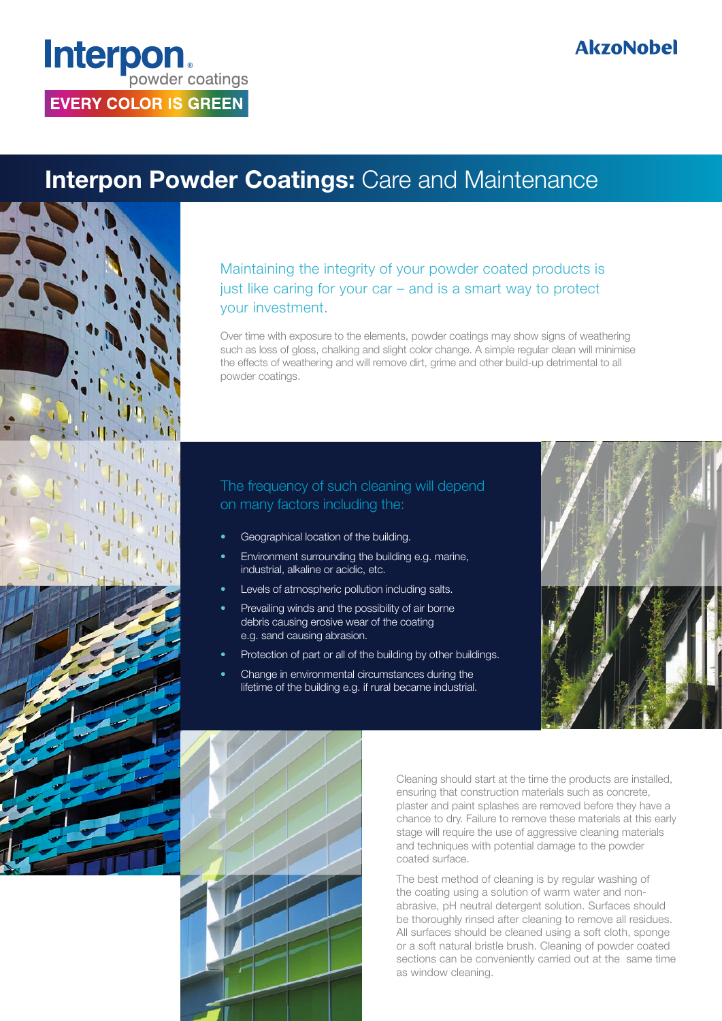# **Interpon EVERY COLOR IS GREEN**

### **AkzoNobel**

### **Interpon Powder Coatings: Care and Maintenance**



#### Maintaining the integrity of your powder coated products is just like caring for your car – and is a smart way to protect your investment.

Over time with exposure to the elements, powder coatings may show signs of weathering such as loss of gloss, chalking and slight color change. A simple regular clean will minimise the effects of weathering and will remove dirt, grime and other build-up detrimental to all powder coatings.

#### The frequency of such cleaning will depend on many factors including the:

- Geographical location of the building.
- Environment surrounding the building e.g. marine, industrial, alkaline or acidic, etc.
- Levels of atmospheric pollution including salts.
- Prevailing winds and the possibility of air borne debris causing erosive wear of the coating e.g. sand causing abrasion.
- Protection of part or all of the building by other buildings.
- Change in environmental circumstances during the lifetime of the building e.g. if rural became industrial.





Cleaning should start at the time the products are installed, ensuring that construction materials such as concrete, plaster and paint splashes are removed before they have a chance to dry. Failure to remove these materials at this early stage will require the use of aggressive cleaning materials and techniques with potential damage to the powder coated surface.

The best method of cleaning is by regular washing of the coating using a solution of warm water and nonabrasive, pH neutral detergent solution. Surfaces should be thoroughly rinsed after cleaning to remove all residues. All surfaces should be cleaned using a soft cloth, sponge or a soft natural bristle brush. Cleaning of powder coated sections can be conveniently carried out at the same time as window cleaning.